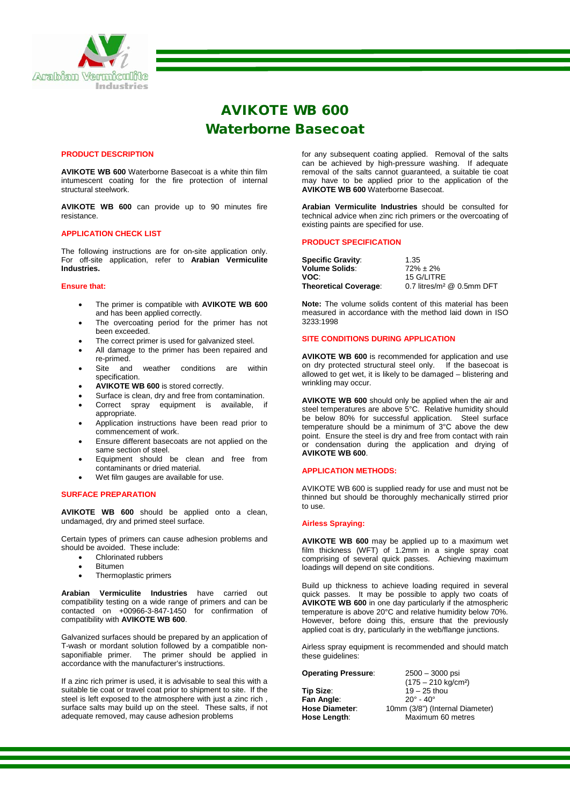

# AVIKOTE WB 600 Waterborne Basecoat

## **PRODUCT DESCRIPTION**

**AVIKOTE WB 600** Waterborne Basecoat is a white thin film intumescent coating for the fire protection of internal structural steelwork.

**AVIKOTE WB 600** can provide up to 90 minutes fire resistance.

#### **APPLICATION CHECK LIST**

The following instructions are for on-site application only. For off-site application, refer to **Arabian Vermiculite Industries.**

## **Ensure that:**

- The primer is compatible with **AVIKOTE WB 600** and has been applied correctly.
- The overcoating period for the primer has not been exceeded.
- The correct primer is used for galvanized steel.
- All damage to the primer has been repaired and re-primed.
- Site and weather conditions are within specification.
- **AVIKOTE WB 600** is stored correctly.
- Surface is clean, dry and free from contamination.
- Correct spray equipment is available, appropriate.
- Application instructions have been read prior to commencement of work.
- Ensure different basecoats are not applied on the same section of steel.
- Equipment should be clean and free from contaminants or dried material.
- Wet film gauges are available for use.

#### **SURFACE PREPARATION**

**AVIKOTE WB 600** should be applied onto a clean, undamaged, dry and primed steel surface.

Certain types of primers can cause adhesion problems and should be avoided. These include:

- Chlorinated rubbers
- Bitumen
- Thermoplastic primers

**Arabian Vermiculite Industries** have carried out compatibility testing on a wide range of primers and can be contacted on +00966-3-847-1450 for confirmation of compatibility with **AVIKOTE WB 600**.

Galvanized surfaces should be prepared by an application of T-wash or mordant solution followed by a compatible nonsaponifiable primer. The primer should be applied in accordance with the manufacturer's instructions.

If a zinc rich primer is used, it is advisable to seal this with a suitable tie coat or travel coat prior to shipment to site. If the steel is left exposed to the atmosphere with just a zinc rich , surface salts may build up on the steel. These salts, if not adequate removed, may cause adhesion problems

for any subsequent coating applied. Removal of the salts can be achieved by high-pressure washing. If adequate removal of the salts cannot guaranteed, a suitable tie coat may have to be applied prior to the application of the **AVIKOTE WB 600** Waterborne Basecoat.

**Arabian Vermiculite Industries** should be consulted for technical advice when zinc rich primers or the overcoating of existing paints are specified for use.

#### **PRODUCT SPECIFICATION**

| <b>Specific Gravity:</b>     | 1.35                                    |
|------------------------------|-----------------------------------------|
| <b>Volume Solids:</b>        | $72\% \pm 2\%$                          |
| VOC:                         | 15 G/LITRE                              |
| <b>Theoretical Coverage:</b> | 0.7 litres/m <sup>2</sup> $@$ 0.5mm DFT |

**Note:** The volume solids content of this material has been measured in accordance with the method laid down in ISO 3233:1998

# **SITE CONDITIONS DURING APPLICATION**

**AVIKOTE WB 600** is recommended for application and use on dry protected structural steel only. If the basecoat is allowed to get wet, it is likely to be damaged – blistering and wrinkling may occur.

**AVIKOTE WB 600** should only be applied when the air and steel temperatures are above 5°C. Relative humidity should be below 80% for successful application. Steel surface temperature should be a minimum of 3°C above the dew point. Ensure the steel is dry and free from contact with rain or condensation during the application and drying of **AVIKOTE WB 600**.

#### **APPLICATION METHODS:**

AVIKOTE WB 600 is supplied ready for use and must not be thinned but should be thoroughly mechanically stirred prior to use.

#### **Airless Spraying:**

**AVIKOTE WB 600** may be applied up to a maximum wet film thickness (WFT) of 1.2mm in a single spray coat comprising of several quick passes. Achieving maximum loadings will depend on site conditions.

Build up thickness to achieve loading required in several quick passes. It may be possible to apply two coats of **AVIKOTE WB 600** in one day particularly if the atmospheric temperature is above 20°C and relative humidity below 70%. However, before doing this, ensure that the previously applied coat is dry, particularly in the web/flange junctions.

Airless spray equipment is recommended and should match these guidelines:

## **Operating Pressure**: 2500 – 3000 psi

**Fan Angle:**<br>Hose Diameter:

(175 – 210 kg/cm²) **Tip Size:** 19 – 25 thou<br> **Fan Angle:** 20° - 40° **Hose Diameter:** 10mm (3/8") (Internal Diameter)<br>**Hose Length:** Maximum 60 metres **Hose Length**: Maximum 60 metres